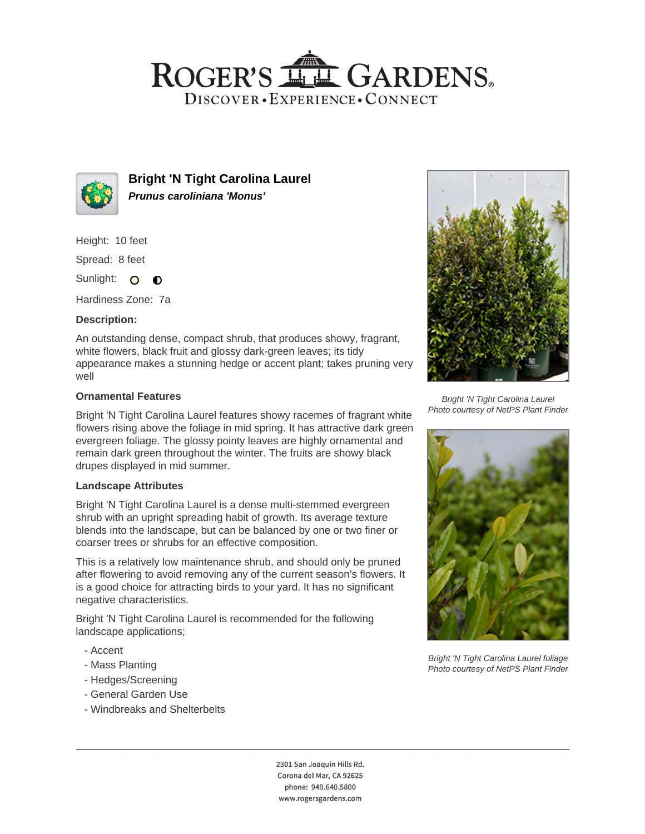# ROGER'S LL GARDENS. DISCOVER · EXPERIENCE · CONNECT



**Bright 'N Tight Carolina Laurel Prunus caroliniana 'Monus'**

Height: 10 feet

Spread: 8 feet

Sunlight: O  $\bullet$ 

Hardiness Zone: 7a

## **Description:**

An outstanding dense, compact shrub, that produces showy, fragrant, white flowers, black fruit and glossy dark-green leaves; its tidy appearance makes a stunning hedge or accent plant; takes pruning very well

#### **Ornamental Features**

Bright 'N Tight Carolina Laurel features showy racemes of fragrant white flowers rising above the foliage in mid spring. It has attractive dark green evergreen foliage. The glossy pointy leaves are highly ornamental and remain dark green throughout the winter. The fruits are showy black drupes displayed in mid summer.

#### **Landscape Attributes**

Bright 'N Tight Carolina Laurel is a dense multi-stemmed evergreen shrub with an upright spreading habit of growth. Its average texture blends into the landscape, but can be balanced by one or two finer or coarser trees or shrubs for an effective composition.

This is a relatively low maintenance shrub, and should only be pruned after flowering to avoid removing any of the current season's flowers. It is a good choice for attracting birds to your yard. It has no significant negative characteristics.

Bright 'N Tight Carolina Laurel is recommended for the following landscape applications;

- Accent
- Mass Planting
- Hedges/Screening
- General Garden Use
- Windbreaks and Shelterbelts



Bright 'N Tight Carolina Laurel Photo courtesy of NetPS Plant Finder



Bright 'N Tight Carolina Laurel foliage Photo courtesy of NetPS Plant Finder

2301 San Joaquin Hills Rd. Corona del Mar, CA 92625 phone: 949.640.5800 www.rogersgardens.com